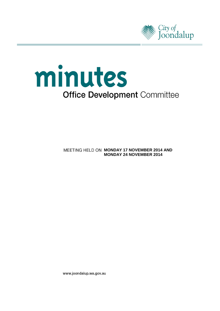



**MEETING HELD ON MONDAY 17 NOVEMBER 2014 AND MONDAY 24 NOVEMBER 2014**

www.joondalup.wa.gov.au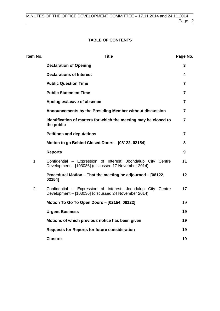# **TABLE OF CONTENTS**

| Item No.       | <b>Title</b>                                                                                                        | Page No.       |
|----------------|---------------------------------------------------------------------------------------------------------------------|----------------|
|                | <b>Declaration of Opening</b>                                                                                       | 3              |
|                | <b>Declarations of Interest</b>                                                                                     | 4              |
|                | <b>Public Question Time</b>                                                                                         | 7              |
|                | <b>Public Statement Time</b>                                                                                        | 7              |
|                | Apologies/Leave of absence                                                                                          | 7              |
|                | Announcements by the Presiding Member without discussion                                                            | 7              |
|                | Identification of matters for which the meeting may be closed to<br>the public                                      | 7              |
|                | <b>Petitions and deputations</b>                                                                                    | $\overline{7}$ |
|                | Motion to go Behind Closed Doors - [08122, 02154]                                                                   | 8              |
|                | <b>Reports</b>                                                                                                      | 9              |
| $\mathbf{1}$   | Confidential - Expression of Interest: Joondalup City Centre<br>Development - [103036] (discussed 17 November 2014) | 11             |
|                | Procedural Motion - That the meeting be adjourned - [08122,<br>021541                                               | 12             |
| $\overline{2}$ | Confidential - Expression of Interest: Joondalup City Centre<br>Development - [103036] (discussed 24 November 2014) | 17             |
|                | Motion To Go To Open Doors - [02154, 08122]                                                                         | 19             |
|                | <b>Urgent Business</b>                                                                                              | 19             |
|                | Motions of which previous notice has been given                                                                     | 19             |
|                | <b>Requests for Reports for future consideration</b>                                                                | 19             |
|                | <b>Closure</b>                                                                                                      | 19             |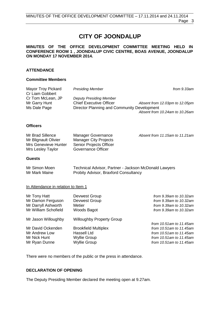# **CITY OF JOONDALUP**

## **MINUTES OF THE OFFICE DEVELOPMENT COMMITTEE MEETING HELD IN CONFERENCE ROOM 1 , JOONDALUP CIVIC CENTRE, BOAS AVENUE, JOONDALUP ON MONDAY 17 NOVEMBER 2014.**

### **ATTENDANCE**

### **Committee Members**

| Mayor Troy Pickard<br>Cr Liam Gobbert | <b>Presiding Member</b>                     | from 9.33am                    |
|---------------------------------------|---------------------------------------------|--------------------------------|
| Cr Tom McLean, JP                     | <b>Deputy Presiding Member</b>              |                                |
| Mr Garry Hunt                         | <b>Chief Executive Officer</b>              | Absent from 12.03pm to 12.05pm |
| Ms Dale Page                          | Director Planning and Community Development |                                |
|                                       |                                             | Absent from 10.24am to 10.26am |

### **Officers**

| Mr Brad Sillence     | Manager Governance             | Absent from 11.15am to 11.21am |
|----------------------|--------------------------------|--------------------------------|
| Mr Blignault Olivier | Manager City Projects          |                                |
| Mrs Genevieve Hunter | <b>Senior Projects Officer</b> |                                |
| Mrs Lesley Taylor    | Governance Officer             |                                |

#### **Guests**

| Mr Simon Moen | Technical Advisor, Partner - Jackson McDonald Lawyers |
|---------------|-------------------------------------------------------|
| Mr Mark Maine | <b>Probity Advisor, Braxford Consultancy</b>          |

#### In Attendance in relation to Item 1

| Mr Tony Hatt         | Devwest Group                    | from 9.39am to 10.32am  |
|----------------------|----------------------------------|-------------------------|
| Mr Damon Ferguson    | Devwest Group                    | from 9.39am to 10.32am  |
| Mr Darryll Ashworth  | Metier                           | from 9.39am to 10.32am  |
| Mr William Schofield | Woods Bagot                      | from 9.39am to 10.32am  |
| Mr Jason Willoughby  | <b>Willoughby Property Group</b> |                         |
|                      |                                  | from 10.51am to 11.45am |
| Mr David Ockenden    | <b>Brookfield Multiplex</b>      | from 10.51am to 11.45am |
| Mr Andrew Low        | Hassell Ltd                      | from 10.51am to 11.45am |
| Mr Nick Hunt         | <b>Wyllie Group</b>              | from 10.51am to 11.45am |
| Mr Ryan Dunne        | <b>Wyllie Group</b>              | from 10.51am to 11.45am |

There were no members of the public or the press in attendance.

### <span id="page-2-0"></span>**DECLARATION OF OPENING**

The Deputy Presiding Member declared the meeting open at 9.27am.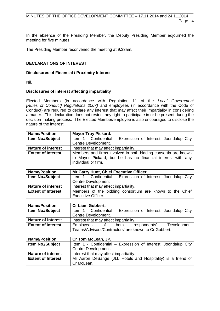In the absence of the Presiding Member, the Deputy Presiding Member adjourned the meeting for five minutes.

The Presiding Member reconvened the meeting at 9.33am.

## <span id="page-3-0"></span>**DECLARATIONS OF INTEREST**

#### **Disclosures of Financial / Proximity Interest**

Nil.

### **Disclosures of interest affecting impartiality**

Elected Members (in accordance with Regulation 11 of the *Local Government [Rules of Conduct] Regulations 2007)* and employees (in accordance with the Code of Conduct) are required to declare any interest that may affect their impartiality in considering a matter. This declaration does not restrict any right to participate in or be present during the decision-making process. The Elected Member/employee is also encouraged to disclose the nature of the interest.

| <b>Name/Position</b>      | <b>Mayor Troy Pickard.</b>                                                                                                                           |  |  |  |  |  |
|---------------------------|------------------------------------------------------------------------------------------------------------------------------------------------------|--|--|--|--|--|
| <b>Item No./Subject</b>   | Item 1 - Confidential - Expression of Interest: Joondalup City                                                                                       |  |  |  |  |  |
|                           | Centre Development.                                                                                                                                  |  |  |  |  |  |
| <b>Nature of interest</b> | Interest that may affect impartiality.                                                                                                               |  |  |  |  |  |
| <b>Extent of Interest</b> | Members and firms involved in both bidding consortia are known<br>to Mayor Pickard, but he has no financial interest with any<br>individual or firm. |  |  |  |  |  |

| <b>Name/Position</b>      | Mr Garry Hunt, Chief Executive Officer.                                               |  |  |  |  |
|---------------------------|---------------------------------------------------------------------------------------|--|--|--|--|
| <b>Item No./Subject</b>   | Item 1 - Confidential – Expression of Interest: Joondalup City                        |  |  |  |  |
|                           | <b>Centre Development</b>                                                             |  |  |  |  |
| <b>Nature of interest</b> | Interest that may affect impartiality.                                                |  |  |  |  |
| <b>Extent of Interest</b> | Members of the bidding consortium are known to the Chief<br><b>Executive Officer.</b> |  |  |  |  |

| <b>Name/Position</b>      | <b>Cr Liam Gobbert.</b>                                        |  |  |  |  |
|---------------------------|----------------------------------------------------------------|--|--|--|--|
| Item No./Subject          | Item 1 - Confidential – Expression of Interest: Joondalup City |  |  |  |  |
|                           | Centre Development.                                            |  |  |  |  |
| <b>Nature of interest</b> | Interest that may affect impartiality.                         |  |  |  |  |
| <b>Extent of Interest</b> | 'Development<br>Employees of<br>respondents'<br>both           |  |  |  |  |
|                           | Teams/Advisors/Contractors' are known to Cr Gobbert.           |  |  |  |  |

| <b>Name/Position</b>      | Cr Tom McLean, JP.                                             |
|---------------------------|----------------------------------------------------------------|
| <b>Item No./Subject</b>   | Item 1 - Confidential - Expression of Interest: Joondalup City |
|                           | Centre Development.                                            |
| <b>Nature of interest</b> | Interest that may affect impartiality.                         |
| <b>Extent of Interest</b> | Mr Aaron DeSange (JLL Hotels and Hospitality) is a friend of   |
|                           | Cr McLean.                                                     |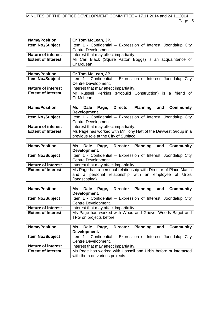# MINUTES OF THE OFFICE DEVELOPMENT COMMITTEE – 17.11.2014 and 24.11.2014 Page 5

| <b>Name/Position</b>      | Cr Tom McLean, JP.                                             |  |  |  |  |  |
|---------------------------|----------------------------------------------------------------|--|--|--|--|--|
| <b>Item No./Subject</b>   | Item 1 - Confidential - Expression of Interest: Joondalup City |  |  |  |  |  |
|                           | Centre Development.                                            |  |  |  |  |  |
| <b>Nature of interest</b> | Interest that may affect impartiality.                         |  |  |  |  |  |
| <b>Extent of Interest</b> | Mr Carl Black (Squire Patton Boggs) is an acquaintance of      |  |  |  |  |  |
|                           | Cr McLean.                                                     |  |  |  |  |  |

| <b>Name/Position</b>      | Cr Tom McLean, JP.                                             |  |  |  |  |  |
|---------------------------|----------------------------------------------------------------|--|--|--|--|--|
| <b>Item No./Subject</b>   | Item 1 - Confidential – Expression of Interest: Joondalup City |  |  |  |  |  |
|                           | Centre Development.                                            |  |  |  |  |  |
| <b>Nature of interest</b> | Interest that may affect impartiality.                         |  |  |  |  |  |
| <b>Extent of Interest</b> | Mr Russell Perkins (Probuild Construction) is a friend of      |  |  |  |  |  |
|                           | Cr McLean.                                                     |  |  |  |  |  |

| <b>Name/Position</b>      | Ms Dale Page,                                                  |  | Director |  |  | <b>Planning and Community</b>                                  |
|---------------------------|----------------------------------------------------------------|--|----------|--|--|----------------------------------------------------------------|
|                           | Development.                                                   |  |          |  |  |                                                                |
| <b>Item No./Subject</b>   |                                                                |  |          |  |  | Item 1 - Confidential – Expression of Interest: Joondalup City |
|                           | Centre Development.                                            |  |          |  |  |                                                                |
| <b>Nature of interest</b> | Interest that may affect impartiality.                         |  |          |  |  |                                                                |
| <b>Extent of Interest</b> | Ms Page has worked with Mr Tony Hatt of the Devwest Group in a |  |          |  |  |                                                                |
|                           | previous role at the City of Subiaco.                          |  |          |  |  |                                                                |

| <b>Name/Position</b>      | <b>Planning and Community</b><br>Ms Dale Page,<br><b>Director</b> |  |  |
|---------------------------|-------------------------------------------------------------------|--|--|
|                           | Development.                                                      |  |  |
| Item No./Subject          | Item 1 - Confidential - Expression of Interest: Joondalup City    |  |  |
|                           | Centre Development.                                               |  |  |
| <b>Nature of interest</b> | Interest that may affect impartiality.                            |  |  |
| <b>Extent of Interest</b> | Ms Page has a personal relationship with Director of Place Match  |  |  |
|                           | and a personal relationship with an employee of Urbis             |  |  |
|                           | (landscaping).                                                    |  |  |

| <b>Name/Position</b>      | Ms Dale Page,                          | <b>Director</b> |  | <b>Planning and Community</b>                                  |
|---------------------------|----------------------------------------|-----------------|--|----------------------------------------------------------------|
|                           | Development.                           |                 |  |                                                                |
| <b>Item No./Subject</b>   |                                        |                 |  | Item 1 - Confidential – Expression of Interest: Joondalup City |
|                           | Centre Development.                    |                 |  |                                                                |
| <b>Nature of interest</b> | Interest that may affect impartiality. |                 |  |                                                                |
| <b>Extent of Interest</b> |                                        |                 |  | Ms Page has worked with Wood and Grieve, Woods Bagot and       |
|                           | TPG on projects before.                |                 |  |                                                                |

| <b>Name/Position</b>      |                                                                |  |  |  | Ms Dale Page, Director Planning and Community                  |
|---------------------------|----------------------------------------------------------------|--|--|--|----------------------------------------------------------------|
|                           | Development.                                                   |  |  |  |                                                                |
| Item No./Subject          |                                                                |  |  |  | Item 1 - Confidential - Expression of Interest: Joondalup City |
|                           | Centre Development.                                            |  |  |  |                                                                |
| <b>Nature of interest</b> | Interest that may affect impartiality.                         |  |  |  |                                                                |
| <b>Extent of Interest</b> | Ms Page has worked with Hassell and Urbis before or interacted |  |  |  |                                                                |
|                           | with them on various projects.                                 |  |  |  |                                                                |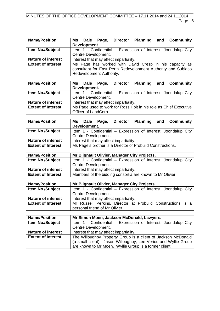| <b>Name/Position</b>      | Development. | Ms Dale Page,            |                                        |  | Director Planning and Community                                                                                         |
|---------------------------|--------------|--------------------------|----------------------------------------|--|-------------------------------------------------------------------------------------------------------------------------|
| <b>Item No./Subject</b>   |              |                          |                                        |  | Item 1 - Confidential - Expression of Interest: Joondalup City                                                          |
|                           |              | Centre Development.      |                                        |  |                                                                                                                         |
| <b>Nature of interest</b> |              |                          | Interest that may affect impartiality. |  |                                                                                                                         |
| <b>Extent of Interest</b> |              | Redevelopment Authority. |                                        |  | Ms Page has worked with David Cresp in his capacity as<br>consultant for East Perth Redevelopment Authority and Subiaco |

| <b>Name/Position</b>      | Ms Dale Page, Director Planning and Community                     |  |  |
|---------------------------|-------------------------------------------------------------------|--|--|
|                           | Development.                                                      |  |  |
| <b>Item No./Subject</b>   | Item 1 - Confidential – Expression of Interest: Joondalup City    |  |  |
|                           | Centre Development.                                               |  |  |
| <b>Nature of interest</b> | Interest that may affect impartiality.                            |  |  |
| <b>Extent of Interest</b> | Ms Page used to work for Ross Holt in his role as Chief Executive |  |  |
|                           | Officer of LandCorp.                                              |  |  |

| <b>Name/Position</b>      |              |                     | Ms Dale Page, Director                 |                                                            | <b>Planning and Community</b>                                  |
|---------------------------|--------------|---------------------|----------------------------------------|------------------------------------------------------------|----------------------------------------------------------------|
|                           | Development. |                     |                                        |                                                            |                                                                |
| <b>Item No./Subject</b>   |              |                     |                                        |                                                            | Item 1 - Confidential - Expression of Interest: Joondalup City |
|                           |              | Centre Development. |                                        |                                                            |                                                                |
| <b>Nature of interest</b> |              |                     | Interest that may affect impartiality. |                                                            |                                                                |
| <b>Extent of Interest</b> |              |                     |                                        | Ms Page's brother is a Director of Probuild Constructions. |                                                                |

| <b>Name/Position</b>      | Mr Blignault Olivier, Manager City Projects.                   |
|---------------------------|----------------------------------------------------------------|
| <b>Item No./Subject</b>   | Item 1 - Confidential - Expression of Interest: Joondalup City |
|                           | Centre Development.                                            |
| <b>Nature of interest</b> | Interest that may affect impartiality.                         |
| <b>Extent of Interest</b> | Members of the bidding consortia are known to Mr Olivier.      |

| <b>Name/Position</b>      | Mr Blignault Olivier, Manager City Projects.                   |  |  |
|---------------------------|----------------------------------------------------------------|--|--|
| <b>Item No./Subject</b>   | Item 1 - Confidential - Expression of Interest: Joondalup City |  |  |
|                           | Centre Development.                                            |  |  |
| <b>Nature of interest</b> | Interest that may affect impartiality.                         |  |  |
| <b>Extent of Interest</b> | Mr Russell Perkins, Director at Probuild Constructions is a    |  |  |
|                           | personal friend of Mr Olivier.                                 |  |  |

| <b>Name/Position</b>      | Mr Simon Moen, Jackson McDonald, Lawyers.                       |
|---------------------------|-----------------------------------------------------------------|
| <b>Item No./Subject</b>   | Item 1 - Confidential - Expression of Interest: Joondalup City  |
|                           | Centre Development.                                             |
| <b>Nature of interest</b> | Interest that may affect impartiality.                          |
| <b>Extent of Interest</b> | The Willoughby Property Group is a client of Jackson McDonald   |
|                           | (a small client). Jason Willoughby, Lee Verios and Wyllie Group |
|                           | are known to Mr Moen. Wyllie Group is a former client.          |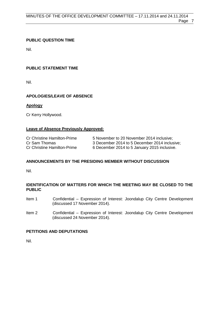## <span id="page-6-0"></span>**PUBLIC QUESTION TIME**

Nil.

# <span id="page-6-1"></span>**PUBLIC STATEMENT TIME**

Nil.

# <span id="page-6-2"></span>**APOLOGIES/LEAVE OF ABSENCE**

## **Apology**

Cr Kerry Hollywood.

## **Leave of Absence Previously Approved:**

| <b>Cr Christine Hamilton-Prime</b> | 5 November to 20 November 2014 inclusive;     |
|------------------------------------|-----------------------------------------------|
| Cr Sam Thomas                      | 3 December 2014 to 5 December 2014 inclusive; |
| <b>Cr Christine Hamilton-Prime</b> | 6 December 2014 to 5 January 2015 inclusive.  |

## <span id="page-6-3"></span>**ANNOUNCEMENTS BY THE PRESIDING MEMBER WITHOUT DISCUSSION**

Nil.

## <span id="page-6-4"></span>**IDENTIFICATION OF MATTERS FOR WHICH THE MEETING MAY BE CLOSED TO THE PUBLIC**

- Item 1 Confidential Expression of Interest: Joondalup City Centre Development (discussed 17 November 2014).
- Item 2 Confidential Expression of Interest: Joondalup City Centre Development (discussed 24 November 2014).

## <span id="page-6-5"></span>**PETITIONS AND DEPUTATIONS**

Nil.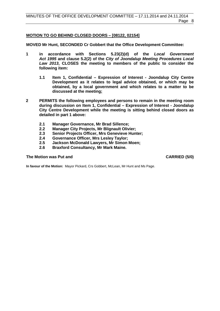## <span id="page-7-0"></span>**MOTION TO GO BEHIND CLOSED DOORS – [08122, 02154]**

**MOVED Mr Hunt, SECONDED Cr Gobbert that the Office Development Committee:**

- **1 in accordance with Sections 5.23(2)(d) of the** *Local Government Act 1995* **and clause 5.2(2) of the** *City of Joondalup Meeting Procedures Local Law 2013***, CLOSES the meeting to members of the public to consider the following item:** 
	- **1.1 Item 1, Confidential – Expression of Interest - Joondalup City Centre Development as it relates to legal advice obtained, or which may be obtained, by a local government and which relates to a matter to be discussed at the meeting;**
- **2 PERMITS the following employees and persons to remain in the meeting room during discussion on Item 1, Confidential – Expression of Interest - Joondalup City Centre Development while the meeting is sitting behind closed doors as detailed in part 1 above:**
	- **2.1 Manager Governance, Mr Brad Sillence;**
	- **2.2 Manager City Projects, Mr Blignault Olivier;**
	- **2.3 Senior Projects Officer, Mrs Genevieve Hunter;**
	- **2.4 Governance Officer, Mrs Lesley Taylor;**
	- **2.5 Jackson McDonald Lawyers, Mr Simon Moen;**
	- **2.6 Braxford Consultancy, Mr Mark Maine.**

#### **The Motion was Put and CARRIED (5/0) CARRIED** (5/0)

**In favour of the Motion:** Mayor Pickard, Crs Gobbert, McLean, Mr Hunt and Ms Page.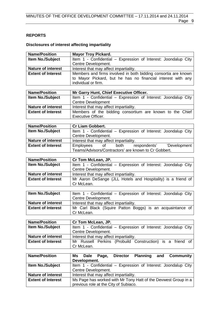# <span id="page-8-0"></span>**REPORTS**

# **Disclosures of interest affecting impartiality**

| <b>Name/Position</b>      | <b>Mayor Troy Pickard.</b>                                                                                                                           |  |  |
|---------------------------|------------------------------------------------------------------------------------------------------------------------------------------------------|--|--|
| Item No./Subject          | Item 1 - Confidential - Expression of Interest: Joondalup City                                                                                       |  |  |
|                           | Centre Development.                                                                                                                                  |  |  |
| <b>Nature of interest</b> | Interest that may affect impartiality.                                                                                                               |  |  |
| <b>Extent of Interest</b> | Members and firms involved in both bidding consortia are known<br>to Mayor Pickard, but he has no financial interest with any<br>individual or firm. |  |  |

| <b>Name/Position</b>      | Mr Garry Hunt, Chief Executive Officer.                        |
|---------------------------|----------------------------------------------------------------|
| <b>Item No./Subject</b>   | Item 1 - Confidential – Expression of Interest: Joondalup City |
|                           | <b>Centre Development</b>                                      |
| <b>Nature of interest</b> | Interest that may affect impartiality.                         |
| <b>Extent of Interest</b> | Members of the bidding consortium are known to the Chief       |
|                           | <b>Executive Officer.</b>                                      |

| <b>Name/Position</b>      | <b>Cr Liam Gobbert.</b>                                        |  |  |
|---------------------------|----------------------------------------------------------------|--|--|
| <b>Item No./Subject</b>   | Item 1 - Confidential – Expression of Interest: Joondalup City |  |  |
|                           | Centre Development.                                            |  |  |
| <b>Nature of interest</b> | Interest that may affect impartiality.                         |  |  |
| <b>Extent of Interest</b> | 'Development<br>Employees of<br>respondents'<br>both           |  |  |
|                           | Teams/Advisors/Contractors' are known to Cr Gobbert.           |  |  |

| <b>Name/Position</b>      | Cr Tom McLean, JP.                                                         |
|---------------------------|----------------------------------------------------------------------------|
| <b>Item No./Subject</b>   | Item 1 - Confidential – Expression of Interest: Joondalup City             |
|                           | Centre Development.                                                        |
| <b>Nature of interest</b> | Interest that may affect impartiality.                                     |
| <b>Extent of Interest</b> | Mr Aaron DeSange (JLL Hotels and Hospitality) is a friend of<br>Cr McLean. |

| <b>Item No./Subject</b>   | Item 1 - Confidential – Expression of Interest: Joondalup City<br>Centre Development. |
|---------------------------|---------------------------------------------------------------------------------------|
| <b>Nature of interest</b> | Interest that may affect impartiality.                                                |
| <b>Extent of Interest</b> | Mr Carl Black (Squire Patton Boggs) is an acquaintance of<br>Cr McLean.               |

| <b>Name/Position</b>      | Cr Tom McLean, JP.                                             |
|---------------------------|----------------------------------------------------------------|
| <b>Item No./Subject</b>   | Item 1 - Confidential - Expression of Interest: Joondalup City |
|                           | Centre Development.                                            |
| <b>Nature of interest</b> | Interest that may affect impartiality.                         |
| <b>Extent of Interest</b> | Mr Russell Perkins (Probuild Construction) is a friend of      |
|                           | Cr McLean.                                                     |

| <b>Name/Position</b>      | <b>Planning and Community</b><br>Ms Dale Page,<br><b>Director</b> |  |
|---------------------------|-------------------------------------------------------------------|--|
|                           | Development.                                                      |  |
| <b>Item No./Subject</b>   | Item 1 - Confidential – Expression of Interest: Joondalup City    |  |
|                           | Centre Development.                                               |  |
| <b>Nature of interest</b> | Interest that may affect impartiality.                            |  |
| <b>Extent of Interest</b> | Ms Page has worked with Mr Tony Hatt of the Devwest Group in a    |  |
|                           | previous role at the City of Subiaco.                             |  |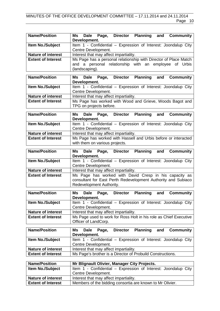| <b>Name/Position</b>      | Page, Director Planning<br><b>Community</b><br>Ms<br>and<br>Dale                                            |  |  |
|---------------------------|-------------------------------------------------------------------------------------------------------------|--|--|
|                           | Development.                                                                                                |  |  |
| <b>Item No./Subject</b>   | Item 1 - Confidential - Expression of Interest: Joondalup City<br>Centre Development.                       |  |  |
| <b>Nature of interest</b> | Interest that may affect impartiality.                                                                      |  |  |
| <b>Extent of Interest</b> | Ms Page has a personal relationship with Director of Place Match                                            |  |  |
|                           | and a personal relationship with an employee of Urbis                                                       |  |  |
|                           | (landscaping).                                                                                              |  |  |
| <b>Name/Position</b>      | <b>Planning</b><br><b>Community</b><br>Dale<br><b>Director</b><br>Ms<br>Page,<br>and                        |  |  |
|                           | Development.                                                                                                |  |  |
| Item No./Subject          | Item 1 - Confidential - Expression of Interest: Joondalup City                                              |  |  |
|                           | Centre Development.                                                                                         |  |  |
| <b>Nature of interest</b> | Interest that may affect impartiality.                                                                      |  |  |
| <b>Extent of Interest</b> | Ms Page has worked with Wood and Grieve, Woods Bagot and                                                    |  |  |
|                           | TPG on projects before.                                                                                     |  |  |
| <b>Name/Position</b>      |                                                                                                             |  |  |
|                           | Dale Page, Director Planning<br><b>Community</b><br>Ms<br>and<br>Development.                               |  |  |
| <b>Item No./Subject</b>   | Item 1 - Confidential - Expression of Interest: Joondalup City                                              |  |  |
|                           | Centre Development.                                                                                         |  |  |
| <b>Nature of interest</b> | Interest that may affect impartiality.                                                                      |  |  |
| <b>Extent of Interest</b> | Ms Page has worked with Hassell and Urbis before or interacted                                              |  |  |
|                           | with them on various projects.                                                                              |  |  |
|                           |                                                                                                             |  |  |
|                           |                                                                                                             |  |  |
| <b>Name/Position</b>      | Page, Director Planning<br><b>Community</b><br>Dale<br>and<br>Ms                                            |  |  |
|                           | Development.                                                                                                |  |  |
| Item No./Subject          | Item 1 - Confidential - Expression of Interest: Joondalup City<br>Centre Development.                       |  |  |
| <b>Nature of interest</b> | Interest that may affect impartiality.                                                                      |  |  |
| <b>Extent of Interest</b> | Ms Page has worked with David Cresp in his capacity as                                                      |  |  |
|                           | consultant for East Perth Redevelopment Authority and Subiaco                                               |  |  |
|                           | Redevelopment Authority.                                                                                    |  |  |
|                           |                                                                                                             |  |  |
| <b>Name/Position</b>      | Dale<br><b>Director</b><br><b>Planning</b><br><b>Community</b><br>Ms<br>Page,<br>and<br>Development.        |  |  |
| Item No./Subject          | Item 1 - Confidential - Expression of Interest: Joondalup City                                              |  |  |
|                           | Centre Development.                                                                                         |  |  |
| <b>Nature of interest</b> | Interest that may affect impartiality.                                                                      |  |  |
| <b>Extent of Interest</b> | Ms Page used to work for Ross Holt in his role as Chief Executive                                           |  |  |
|                           | Officer of LandCorp.                                                                                        |  |  |
|                           |                                                                                                             |  |  |
| <b>Name/Position</b>      | <b>Community</b><br><b>Director</b><br><b>Planning</b><br><b>Dale</b><br>and<br>Ms<br>Page,<br>Development. |  |  |
| Item No./Subject          | Item 1 - Confidential - Expression of Interest: Joondalup City                                              |  |  |
|                           | Centre Development.                                                                                         |  |  |
| <b>Nature of interest</b> | Interest that may affect impartiality.                                                                      |  |  |
| <b>Extent of Interest</b> | Ms Page's brother is a Director of Probuild Constructions.                                                  |  |  |
| <b>Name/Position</b>      | Mr Blignault Olivier, Manager City Projects.                                                                |  |  |

| <b>Name/Position</b>      | Mr Blignault Olivier, Manager City Projects.                   |
|---------------------------|----------------------------------------------------------------|
| <b>Item No./Subject</b>   | Item 1 - Confidential – Expression of Interest: Joondalup City |
|                           | Centre Development.                                            |
| <b>Nature of interest</b> | Interest that may affect impartiality.                         |
| <b>Extent of Interest</b> | Members of the bidding consortia are known to Mr Olivier.      |
|                           |                                                                |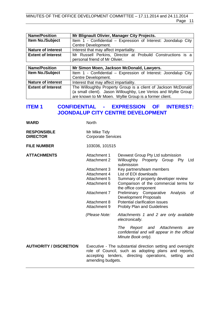### MINUTES OF THE OFFICE DEVELOPMENT COMMITTEE – 17.11.2014 and 24.11.2014 Page 11

| <b>Name/Position</b>      | Mr Blignault Olivier, Manager City Projects.                    |  |
|---------------------------|-----------------------------------------------------------------|--|
| Item No./Subject          | Item 1 - Confidential – Expression of Interest: Joondalup City  |  |
|                           | Centre Development.                                             |  |
| <b>Nature of interest</b> | Interest that may affect impartiality.                          |  |
| <b>Extent of Interest</b> | Mr Russell Perkins, Director at Probuild Constructions is a     |  |
|                           | personal friend of Mr Olivier.                                  |  |
|                           |                                                                 |  |
| <b>Name/Position</b>      | Mr Simon Moen, Jackson McDonald, Lawyers.                       |  |
| Item No./Subject          | Item 1 - Confidential - Expression of Interest: Joondalup City  |  |
|                           | Centre Development.                                             |  |
| <b>Nature of interest</b> | Interest that may affect impartiality.                          |  |
| <b>Extent of Interest</b> | The Willoughby Property Group is a client of Jackson McDonald   |  |
|                           | (a small client). Jason Willoughby, Lee Verios and Wyllie Group |  |
|                           | are known to Mr Moen. Wyllie Group is a former client.          |  |

# <span id="page-10-0"></span>**ITEM 1 CONFIDENTIAL - EXPRESSION OF INTEREST: JOONDALUP CITY CENTRE DEVELOPMENT**

| WARD | <b>North</b> |
|------|--------------|
|      |              |

| <b>RESPONSIBLE</b> | Mr Mike Tidy              |
|--------------------|---------------------------|
| <b>DIRECTOR</b>    | <b>Corporate Services</b> |

**FILE NUMBER** 103036, 101515

**ATTACHMENTS** Attachment 1 Devwest Group Pty Ltd submission<br>Attachment 2 Willoughby Property Group Pty Willoughby Property Group Pty Ltd submission Attachment 3 Key partners/team members Attachment 4 List of EOI downloads<br>Attachment 5 Summary of property of Attachment 5 Summary of property developer review<br>Attachment 6 Comparison of the commercial terms Comparison of the commercial terms for the office component Attachment 7 Preliminary Comparative Analysis of Development Proposals Attachment 8 Potential clarification issues Attachment 9 Probity Plan and Guidelines *(Please Note: Attachments 1 and 2 are only available electronically. The Report and Attachments are confidential and will appear in the official Minute Book only).*

**AUTHORITY / DISCRETION** Executive - The substantial direction setting and oversight role of Council, such as adopting plans and reports, accepting tenders, directing operations, setting and amending budgets.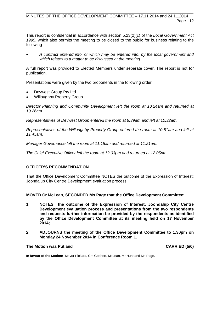This report is confidential in accordance with section 5.23(2)(c) of the *Local Government Act 1995*, which also permits the meeting to be closed to the public for business relating to the following:

• *A contract entered into, or which may be entered into, by the local government and which relates to a matter to be discussed at the meeting.*

A full report was provided to Elected Members under separate cover. The report is not for publication.

Presentations were given by the two proponents in the following order:

- Devwest Group Pty Ltd.
- Willoughby Property Group.

*Director Planning and Community Development left the room at 10.24am and returned at 10.26am.*

*Representatives of Devwest Group entered the room at 9.39am and left at 10.32am.*

*Representatives of the Willoughby Property Group entered the room at 10.51am and left at 11.45am.*

*Manager Governance left the room at 11.15am and returned at 11.21am.*

*The Chief Executive Officer left the room at 12.03pm and returned at 12.05pm.*

## **OFFICER'S RECOMMENDATION**

That the Office Development Committee NOTES the outcome of the Expression of Interest: Joondalup City Centre Development evaluation process.

<span id="page-11-0"></span>**MOVED Cr McLean, SECONDED Ms Page that the Office Development Committee:**

- **1 NOTES the outcome of the Expression of Interest: Joondalup City Centre Development evaluation process and presentations from the two respondents and requests further information be provided by the respondents as identified by the Office Development Committee at its meeting held on 17 November 2014;**
- **2 ADJOURNS the meeting of the Office Development Committee to 1.30pm on Monday 24 November 2014 in Conference Room 1.**

#### **The Motion was Put and CARRIED (5/0) CARRIED (5/0)**

**In favour of the Motion:** Mayor Pickard, Crs Gobbert, McLean, Mr Hunt and Ms Page.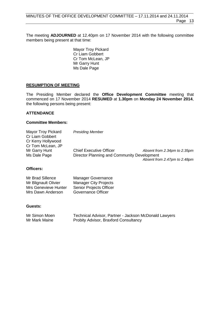The meeting **ADJOURNED** at 12.40pm on 17 November 2014 with the following committee members being present at that time:

> Mayor Troy Pickard Cr Liam Gobbert Cr Tom McLean, JP Mr Garry Hunt Ms Dale Page

### **RESUMPTION OF MEETING**

The Presiding Member declared the **Office Development Committee** meeting that commenced on 17 November 2014 **RESUMED** at **1.30pm** on **Monday 24 November 2014**, the following persons being present:

### **ATTENDANCE**

### **Committee Members:**

| <b>Mayor Troy Pickard</b><br>Cr Liam Gobbert | <b>Presiding Member</b>                     |                              |
|----------------------------------------------|---------------------------------------------|------------------------------|
| Cr Kerry Hollywood                           |                                             |                              |
| Cr Tom McLean, JP                            |                                             |                              |
| Mr Garry Hunt                                | <b>Chief Executive Officer</b>              | Absent from 2.34pm to 2.35pm |
| Ms Dale Page                                 | Director Planning and Community Development |                              |
|                                              |                                             | Absent from 2.47pm to 2.48pm |

# **Officers:**

| Mr Brad Sillence     | <b>Manager Governance</b>      |
|----------------------|--------------------------------|
| Mr Blignault Olivier | <b>Manager City Projects</b>   |
| Mrs Genevieve Hunter | <b>Senior Projects Officer</b> |
| Mrs Dawn Anderson    | Governance Officer             |

#### **Guests:**

| Mr Simon Moen | Technical Advisor, Partner - Jackson McDonald Lawyers |
|---------------|-------------------------------------------------------|
| Mr Mark Maine | <b>Probity Advisor, Braxford Consultancy</b>          |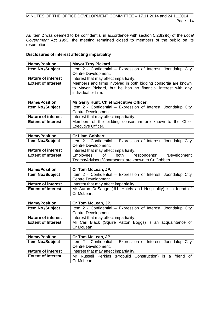As Item 2 was deemed to be confidential in accordance with section 5.23(2)(c) of the *Local Government Act 1995,* the meeting remained closed to members of the public on its resumption.

### **Disclosures of interest affecting impartiality**

| <b>Name/Position</b>      | <b>Mayor Troy Pickard.</b>                                                                                                                           |  |  |  |  |  |  |
|---------------------------|------------------------------------------------------------------------------------------------------------------------------------------------------|--|--|--|--|--|--|
| Item No./Subject          | Item 2 - Confidential - Expression of Interest: Joondalup City                                                                                       |  |  |  |  |  |  |
|                           | Centre Development.                                                                                                                                  |  |  |  |  |  |  |
| <b>Nature of interest</b> | Interest that may affect impartiality.                                                                                                               |  |  |  |  |  |  |
| <b>Extent of Interest</b> | Members and firms involved in both bidding consortia are known<br>to Mayor Pickard, but he has no financial interest with any<br>individual or firm. |  |  |  |  |  |  |

| <b>Name/Position</b>      | Mr Garry Hunt, Chief Executive Officer.                        |  |  |  |  |  |  |
|---------------------------|----------------------------------------------------------------|--|--|--|--|--|--|
| <b>Item No./Subject</b>   | Item 2 - Confidential - Expression of Interest: Joondalup City |  |  |  |  |  |  |
|                           | <b>Centre Development</b>                                      |  |  |  |  |  |  |
| <b>Nature of interest</b> | Interest that may affect impartiality.                         |  |  |  |  |  |  |
| <b>Extent of Interest</b> | Members of the bidding consortium are known to the Chief       |  |  |  |  |  |  |
|                           | <b>Executive Officer.</b>                                      |  |  |  |  |  |  |

| <b>Name/Position</b>      | <b>Cr Liam Gobbert.</b>                                         |  |  |  |  |  |
|---------------------------|-----------------------------------------------------------------|--|--|--|--|--|
| <b>Item No./Subject</b>   | Item 2 - Confidential – Expression of Interest: Joondalup City  |  |  |  |  |  |
|                           | Centre Development.                                             |  |  |  |  |  |
| <b>Nature of interest</b> | Interest that may affect impartiality.                          |  |  |  |  |  |
| <b>Extent of Interest</b> | 'Development<br>Employees<br>respondents'<br>both<br>$\circ$ of |  |  |  |  |  |
|                           | Teams/Advisors/Contractors' are known to Cr Gobbert.            |  |  |  |  |  |

| <b>Name/Position</b>      | Cr Tom McLean, JP.                                             |
|---------------------------|----------------------------------------------------------------|
| <b>Item No./Subject</b>   | Item 2 - Confidential – Expression of Interest: Joondalup City |
|                           | Centre Development.                                            |
| <b>Nature of interest</b> | Interest that may affect impartiality.                         |
| <b>Extent of Interest</b> | Mr Aaron DeSange (JLL Hotels and Hospitality) is a friend of   |
|                           | Cr McLean.                                                     |

| <b>Name/Position</b>      | Cr Tom McLean, JP.                                             |  |  |  |  |  |  |  |
|---------------------------|----------------------------------------------------------------|--|--|--|--|--|--|--|
| <b>Item No./Subject</b>   | Item 2 - Confidential – Expression of Interest: Joondalup City |  |  |  |  |  |  |  |
|                           | Centre Development.                                            |  |  |  |  |  |  |  |
| <b>Nature of interest</b> | Interest that may affect impartiality.                         |  |  |  |  |  |  |  |
| <b>Extent of Interest</b> | Mr Carl Black (Squire Patton Boggs) is an acquaintance of      |  |  |  |  |  |  |  |
|                           | Cr McLean.                                                     |  |  |  |  |  |  |  |

| <b>Name/Position</b>      | Cr Tom McLean, JP.                                             |  |  |  |  |  |  |
|---------------------------|----------------------------------------------------------------|--|--|--|--|--|--|
| <b>Item No./Subject</b>   | Item 2 - Confidential - Expression of Interest: Joondalup City |  |  |  |  |  |  |
|                           | Centre Development.                                            |  |  |  |  |  |  |
| <b>Nature of interest</b> | Interest that may affect impartiality.                         |  |  |  |  |  |  |
| <b>Extent of Interest</b> | Mr Russell Perkins (Probuild Construction) is a friend of      |  |  |  |  |  |  |
|                           | Cr McLean.                                                     |  |  |  |  |  |  |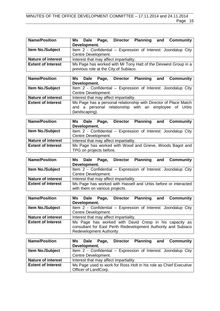| <b>Name/Position</b>      | Development. |                     | Ms Dale Page, Director                 |  | <b>Planning and Community</b>                                  |
|---------------------------|--------------|---------------------|----------------------------------------|--|----------------------------------------------------------------|
| <b>Item No./Subject</b>   |              |                     |                                        |  | Item 2 - Confidential - Expression of Interest: Joondalup City |
|                           |              | Centre Development. |                                        |  |                                                                |
| <b>Nature of interest</b> |              |                     | Interest that may affect impartiality. |  |                                                                |
| <b>Extent of Interest</b> |              |                     |                                        |  | Ms Page has worked with Mr Tony Hatt of the Devwest Group in a |
|                           |              |                     | previous role at the City of Subiaco.  |  |                                                                |

| <b>Name/Position</b>      | <b>Planning and Community</b><br>Ms Dale<br><b>Director</b><br>Page, |  |  |  |  |  |  |
|---------------------------|----------------------------------------------------------------------|--|--|--|--|--|--|
|                           | Development.                                                         |  |  |  |  |  |  |
| <b>Item No./Subject</b>   | Item 2 - Confidential - Expression of Interest: Joondalup City       |  |  |  |  |  |  |
|                           | Centre Development.                                                  |  |  |  |  |  |  |
| <b>Nature of interest</b> | Interest that may affect impartiality.                               |  |  |  |  |  |  |
| <b>Extent of Interest</b> | Ms Page has a personal relationship with Director of Place Match     |  |  |  |  |  |  |
|                           | and a personal relationship with an employee of Urbis                |  |  |  |  |  |  |
|                           | (landscaping).                                                       |  |  |  |  |  |  |

| <b>Name/Position</b>      | Director Planning and Community<br>Ms Dale Page,               |
|---------------------------|----------------------------------------------------------------|
|                           | Development.                                                   |
| <b>Item No./Subject</b>   | Item 2 - Confidential – Expression of Interest: Joondalup City |
|                           | Centre Development.                                            |
| <b>Nature of interest</b> | Interest that may affect impartiality.                         |
| <b>Extent of Interest</b> | Ms Page has worked with Wood and Grieve, Woods Bagot and       |
|                           | TPG on projects before.                                        |

| <b>Name/Position</b>      | Ms Dale Page,<br>Director Planning and Community               |  |  |  |  |
|---------------------------|----------------------------------------------------------------|--|--|--|--|
|                           | Development.                                                   |  |  |  |  |
| <b>Item No./Subject</b>   | Item 2 - Confidential – Expression of Interest: Joondalup City |  |  |  |  |
|                           | Centre Development.                                            |  |  |  |  |
| <b>Nature of interest</b> | Interest that may affect impartiality.                         |  |  |  |  |
| <b>Extent of Interest</b> | Ms Page has worked with Hassell and Urbis before or interacted |  |  |  |  |
|                           | with them on various projects.                                 |  |  |  |  |

| <b>Name/Position</b>      |                                                               |              |                          |                                        |  |  | Ms Dale Page, Director Planning and Community                  |
|---------------------------|---------------------------------------------------------------|--------------|--------------------------|----------------------------------------|--|--|----------------------------------------------------------------|
|                           |                                                               | Development. |                          |                                        |  |  |                                                                |
| Item No./Subject          |                                                               |              |                          |                                        |  |  | Item 2 - Confidential - Expression of Interest: Joondalup City |
|                           |                                                               |              | Centre Development.      |                                        |  |  |                                                                |
| <b>Nature of interest</b> |                                                               |              |                          | Interest that may affect impartiality. |  |  |                                                                |
| <b>Extent of Interest</b> |                                                               |              |                          |                                        |  |  | Ms Page has worked with David Cresp in his capacity as         |
|                           | consultant for East Perth Redevelopment Authority and Subiaco |              |                          |                                        |  |  |                                                                |
|                           |                                                               |              | Redevelopment Authority. |                                        |  |  |                                                                |

| <b>Name/Position</b>      | <b>Planning and Community</b><br>Ms Dale Page, Director           |
|---------------------------|-------------------------------------------------------------------|
|                           | Development.                                                      |
| <b>Item No./Subject</b>   | Item 2 - Confidential – Expression of Interest: Joondalup City    |
|                           | Centre Development.                                               |
| <b>Nature of interest</b> | Interest that may affect impartiality.                            |
| <b>Extent of Interest</b> | Ms Page used to work for Ross Holt in his role as Chief Executive |
|                           | Officer of LandCorp.                                              |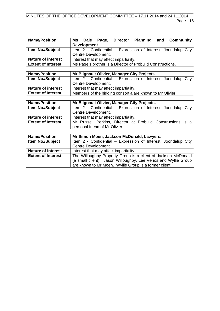| <b>Name/Position</b>      | Dale Page, Director Planning and Community<br>Ms                |  |  |  |
|---------------------------|-----------------------------------------------------------------|--|--|--|
|                           | Development.                                                    |  |  |  |
| Item No./Subject          | Item 2 - Confidential – Expression of Interest: Joondalup City  |  |  |  |
|                           | Centre Development.                                             |  |  |  |
| <b>Nature of interest</b> | Interest that may affect impartiality.                          |  |  |  |
| <b>Extent of Interest</b> | Ms Page's brother is a Director of Probuild Constructions.      |  |  |  |
|                           |                                                                 |  |  |  |
| <b>Name/Position</b>      | Mr Blignault Olivier, Manager City Projects.                    |  |  |  |
| Item No./Subject          | Item 2 - Confidential - Expression of Interest: Joondalup City  |  |  |  |
|                           | Centre Development.                                             |  |  |  |
| <b>Nature of interest</b> | Interest that may affect impartiality.                          |  |  |  |
| <b>Extent of Interest</b> | Members of the bidding consortia are known to Mr Olivier.       |  |  |  |
|                           |                                                                 |  |  |  |
| <b>Name/Position</b>      | Mr Blignault Olivier, Manager City Projects.                    |  |  |  |
| Item No./Subject          | Item 2 - Confidential – Expression of Interest: Joondalup City  |  |  |  |
|                           | Centre Development.                                             |  |  |  |
| <b>Nature of interest</b> | Interest that may affect impartiality.                          |  |  |  |
| <b>Extent of Interest</b> | Mr Russell Perkins, Director at Probuild Constructions is a     |  |  |  |
|                           | personal friend of Mr Olivier.                                  |  |  |  |
|                           |                                                                 |  |  |  |
| <b>Name/Position</b>      | Mr Simon Moen, Jackson McDonald, Lawyers.                       |  |  |  |
| Item No./Subject          | Item 2 - Confidential - Expression of Interest: Joondalup City  |  |  |  |
|                           | Centre Development.                                             |  |  |  |
| <b>Nature of interest</b> | Interest that may affect impartiality.                          |  |  |  |
| <b>Extent of Interest</b> | The Willoughby Property Group is a client of Jackson McDonald   |  |  |  |
|                           | (a small client). Jason Willoughby, Lee Verios and Wyllie Group |  |  |  |
|                           | are known to Mr Moen. Wyllie Group is a former client.          |  |  |  |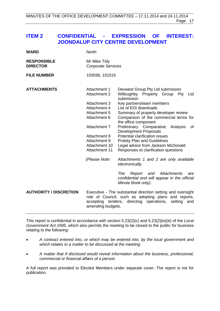# <span id="page-16-0"></span>**ITEM 2 CONFIDENTIAL - EXPRESSION OF INTEREST: JOONDALUP CITY CENTRE DEVELOPMENT**

| <b>WARD</b>                           | <b>North</b>                                                                                                                                                                                              |                                                                                                                                                                                                                                                                                                                                                                                                                                                                                           |  |
|---------------------------------------|-----------------------------------------------------------------------------------------------------------------------------------------------------------------------------------------------------------|-------------------------------------------------------------------------------------------------------------------------------------------------------------------------------------------------------------------------------------------------------------------------------------------------------------------------------------------------------------------------------------------------------------------------------------------------------------------------------------------|--|
| <b>RESPONSIBLE</b><br><b>DIRECTOR</b> | Mr Mike Tidy<br><b>Corporate Services</b>                                                                                                                                                                 |                                                                                                                                                                                                                                                                                                                                                                                                                                                                                           |  |
| <b>FILE NUMBER</b>                    | 103036, 101515                                                                                                                                                                                            |                                                                                                                                                                                                                                                                                                                                                                                                                                                                                           |  |
| <b>ATTACHMENTS</b>                    | Attachment 1<br><b>Attachment 2</b><br><b>Attachment 3</b><br>Attachment 4<br>Attachment 5<br>Attachment 6<br>Attachment 7<br>Attachment 8<br>Attachment 9<br>Attachment 10<br>Attachment 11              | Devwest Group Pty Ltd submission<br>Willoughby Property Group Pty<br>Ltd<br>submission<br>Key partners/team members<br>List of EOI downloads<br>Summary of property developer review<br>Comparison of the commercial terms for<br>the office component<br>Preliminary Comparative<br>Analysis<br>οf<br><b>Development Proposals</b><br>Potential clarification issues<br><b>Probity Plan and Guidelines</b><br>Legal advice from Jackson McDonald<br>Responses to clarification questions |  |
|                                       | (Please Note:                                                                                                                                                                                             | Attachments 1 and 2 are only available<br>electronically.<br>The<br>Report and<br>Attachments<br>are<br>confidential and will appear in the official<br>Minute Book only).                                                                                                                                                                                                                                                                                                                |  |
| <b>AUTHORITY / DISCRETION</b>         | Executive - The substantial direction setting and oversight<br>role of Council, such as adopting plans and reports,<br>accepting tenders,<br>directing operations,<br>setting<br>and<br>amending budgets. |                                                                                                                                                                                                                                                                                                                                                                                                                                                                                           |  |

This report is confidential in accordance with section 5.23(2)(c) and 5.23(2)(e)(iii) of the *Local Government Act 1995*, which also permits the meeting to be closed to the public for business relating to the following:

- *A contract entered into, or which may be entered into, by the local government and which relates to a matter to be discussed at the meeting.*
- *A matter that if disclosed would reveal information about the business, professional, commercial or financial affairs of a person.*

A full report was provided to Elected Members under separate cover. The report is not for publication.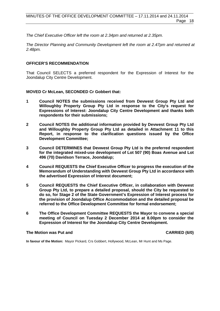*The Chief Executive Officer left the room at 2.34pm and returned at 2.35pm.*

*The Director Planning and Community Development left the room at 2.47pm and returned at 2.48pm.*

### **OFFICER'S RECOMMENDATION**

That Council SELECTS a preferred respondent for the Expression of Interest for the Joondalup City Centre Development.

**MOVED Cr McLean, SECONDED Cr Gobbert that:**

- **1 Council NOTES the submissions received from Devwest Group Pty Ltd and Willoughby Property Group Pty Ltd in response to the City's request for Expressions of Interest: Joondalup City Centre Development and thanks both respondents for their submissions;**
- **2 Council NOTES the additional information provided by Devwest Group Pty Ltd and Willoughby Property Group Pty Ltd as detailed in Attachment 11 to this Report, in response to the clarification questions issued by the Office Development Committee;**
- **3 Council DETERMINES that Devwest Group Pty Ltd is the preferred respondent for the integrated mixed-use development of Lot 507 (90) Boas Avenue and Lot 496 (70) Davidson Terrace, Joondalup;**
- **4 Council REQUESTS the Chief Executive Officer to progress the execution of the Memorandum of Understanding with Devwest Group Pty Ltd in accordance with the advertised Expression of Interest document;**
- **5 Council REQUESTS the Chief Executive Officer, in collaboration with Devwest Group Pty Ltd, to prepare a detailed proposal, should the City be requested to do so, for Stage 2 of the State Government's Expression of Interest process for the provision of Joondalup Office Accommodation and the detailed proposal be referred to the Office Development Committee for formal endorsement;**
- **6 The Office Development Committee REQUESTS the Mayor to convene a special meeting of Council on Tuesday 2 December 2014 at 8.00pm to consider the Expression of Interest for the Joondalup City Centre Development.**

### **The Motion was Put and CARRIED (6/0)**

**In favour of the Motion:** Mayor Pickard, Crs Gobbert, Hollywood, McLean, Mr Hunt and Ms Page.